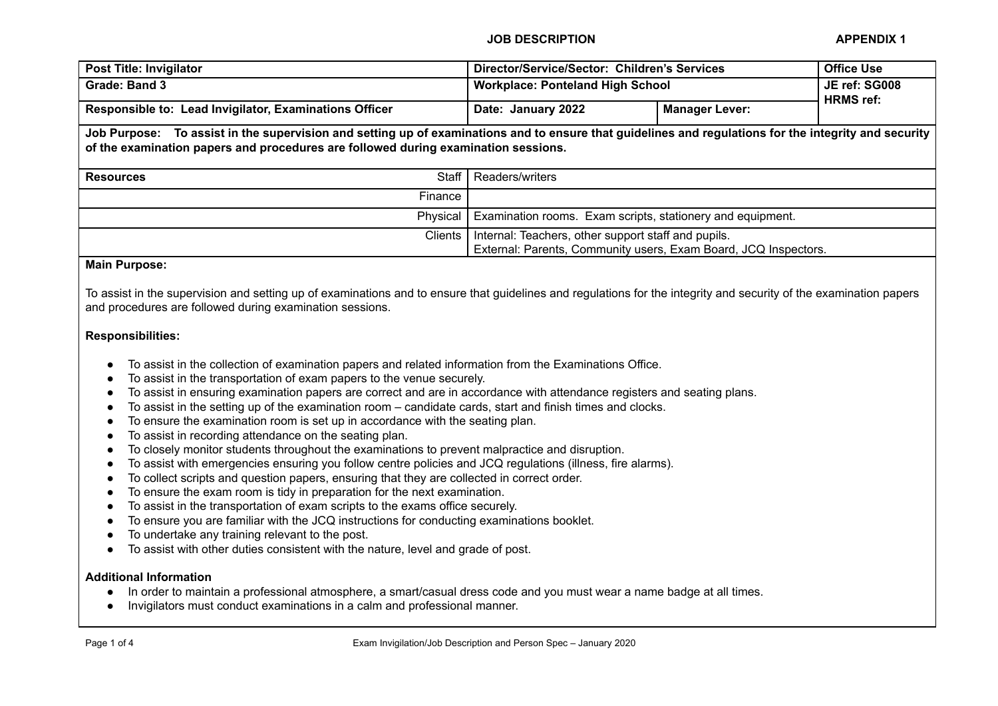| <b>Post Title: Invigilator</b>                                                                                                                                                                                                              | Director/Service/Sector: Children's Services                                                                           |                       | <b>Office Use</b>                 |  |  |
|---------------------------------------------------------------------------------------------------------------------------------------------------------------------------------------------------------------------------------------------|------------------------------------------------------------------------------------------------------------------------|-----------------------|-----------------------------------|--|--|
| Grade: Band 3                                                                                                                                                                                                                               | <b>Workplace: Ponteland High School</b>                                                                                |                       | JE ref: SG008<br><b>HRMS</b> ref: |  |  |
| Responsible to: Lead Invigilator, Examinations Officer                                                                                                                                                                                      | Date: January 2022                                                                                                     | <b>Manager Lever:</b> |                                   |  |  |
| Job Purpose: To assist in the supervision and setting up of examinations and to ensure that guidelines and regulations for the integrity and security<br>of the examination papers and procedures are followed during examination sessions. |                                                                                                                        |                       |                                   |  |  |
| Staff<br><b>Resources</b>                                                                                                                                                                                                                   | Readers/writers                                                                                                        |                       |                                   |  |  |
| Finance                                                                                                                                                                                                                                     |                                                                                                                        |                       |                                   |  |  |
| Physical                                                                                                                                                                                                                                    | Examination rooms. Exam scripts, stationery and equipment.                                                             |                       |                                   |  |  |
| <b>Clients</b>                                                                                                                                                                                                                              | Internal: Teachers, other support staff and pupils.<br>External: Parents, Community users, Exam Board, JCQ Inspectors. |                       |                                   |  |  |
| <b>Main Purpose:</b>                                                                                                                                                                                                                        |                                                                                                                        |                       |                                   |  |  |

To assist in the supervision and setting up of examinations and to ensure that guidelines and regulations for the integrity and security of the examination papers and procedures are followed during examination sessions.

## **Responsibilities:**

- To assist in the collection of examination papers and related information from the Examinations Office.
- To assist in the transportation of exam papers to the venue securely.
- To assist in ensuring examination papers are correct and are in accordance with attendance registers and seating plans.
- To assist in the setting up of the examination room candidate cards, start and finish times and clocks.
- To ensure the examination room is set up in accordance with the seating plan.
- To assist in recording attendance on the seating plan.
- To closely monitor students throughout the examinations to prevent malpractice and disruption.
- To assist with emergencies ensuring you follow centre policies and JCQ regulations (illness, fire alarms).
- To collect scripts and question papers, ensuring that they are collected in correct order.
- To ensure the exam room is tidy in preparation for the next examination.
- To assist in the transportation of exam scripts to the exams office securely.
- To ensure you are familiar with the JCQ instructions for conducting examinations booklet.
- To undertake any training relevant to the post.
- To assist with other duties consistent with the nature, level and grade of post.

## **Additional Information**

- In order to maintain a professional atmosphere, a smart/casual dress code and you must wear a name badge at all times.
- Invigilators must conduct examinations in a calm and professional manner.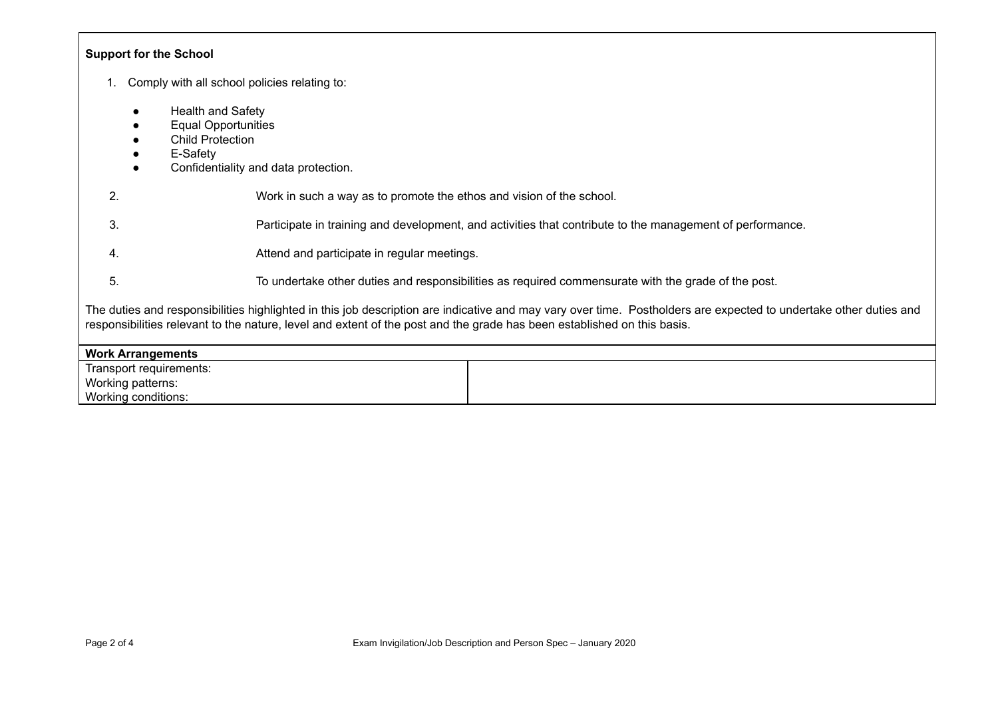| <b>Support for the School</b>                                                                                                                                                                                                                                                                |  |  |  |  |
|----------------------------------------------------------------------------------------------------------------------------------------------------------------------------------------------------------------------------------------------------------------------------------------------|--|--|--|--|
| Comply with all school policies relating to:                                                                                                                                                                                                                                                 |  |  |  |  |
| <b>Health and Safety</b><br><b>Equal Opportunities</b><br><b>Child Protection</b><br>E-Safety<br>Confidentiality and data protection.                                                                                                                                                        |  |  |  |  |
| 2.<br>Work in such a way as to promote the ethos and vision of the school.                                                                                                                                                                                                                   |  |  |  |  |
| 3.<br>Participate in training and development, and activities that contribute to the management of performance.                                                                                                                                                                              |  |  |  |  |
| Attend and participate in regular meetings.<br>4.                                                                                                                                                                                                                                            |  |  |  |  |
| 5.<br>To undertake other duties and responsibilities as required commensurate with the grade of the post.                                                                                                                                                                                    |  |  |  |  |
| The duties and responsibilities highlighted in this job description are indicative and may vary over time. Postholders are expected to undertake other duties and<br>responsibilities relevant to the nature, level and extent of the post and the grade has been established on this basis. |  |  |  |  |
| <b>Work Arrangements</b>                                                                                                                                                                                                                                                                     |  |  |  |  |
| Transport requirements:                                                                                                                                                                                                                                                                      |  |  |  |  |
| Working patterns:<br>Working conditions:                                                                                                                                                                                                                                                     |  |  |  |  |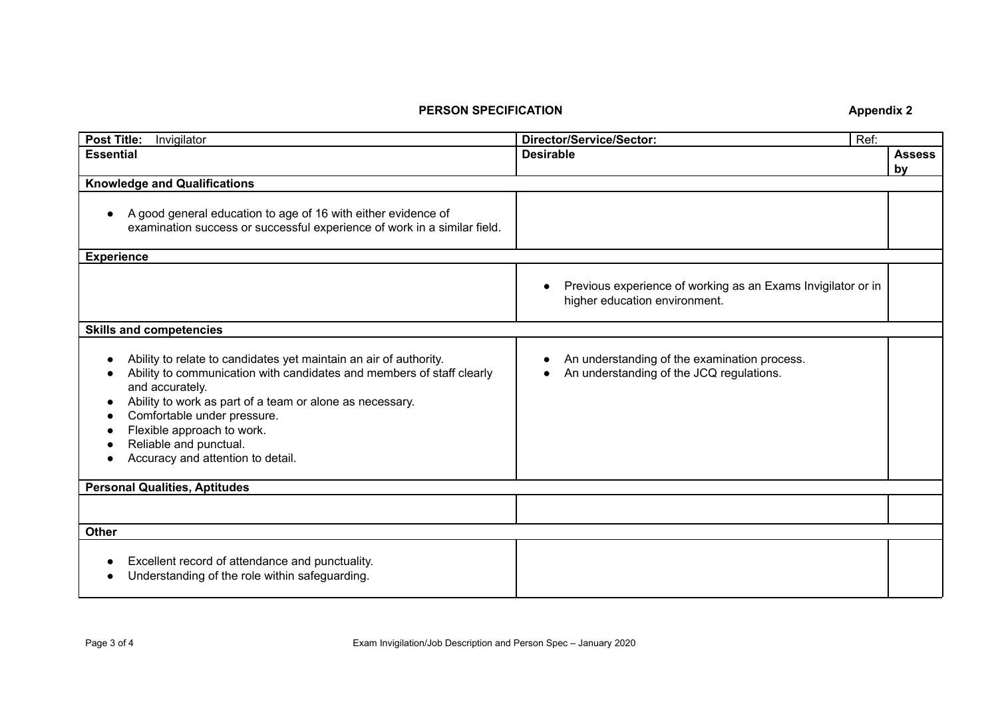## **PERSON SPECIFICATION Appendix 2**

| <b>Post Title:</b><br>Invigilator                                                                                                                                                                                                                                                                                                                     | <b>Director/Service/Sector:</b><br>Ref:                                                       |                     |  |  |
|-------------------------------------------------------------------------------------------------------------------------------------------------------------------------------------------------------------------------------------------------------------------------------------------------------------------------------------------------------|-----------------------------------------------------------------------------------------------|---------------------|--|--|
| <b>Essential</b>                                                                                                                                                                                                                                                                                                                                      | <b>Desirable</b>                                                                              | <b>Assess</b><br>by |  |  |
| <b>Knowledge and Qualifications</b>                                                                                                                                                                                                                                                                                                                   |                                                                                               |                     |  |  |
| A good general education to age of 16 with either evidence of<br>examination success or successful experience of work in a similar field.                                                                                                                                                                                                             |                                                                                               |                     |  |  |
| <b>Experience</b>                                                                                                                                                                                                                                                                                                                                     |                                                                                               |                     |  |  |
|                                                                                                                                                                                                                                                                                                                                                       | Previous experience of working as an Exams Invigilator or in<br>higher education environment. |                     |  |  |
| <b>Skills and competencies</b>                                                                                                                                                                                                                                                                                                                        |                                                                                               |                     |  |  |
| Ability to relate to candidates yet maintain an air of authority.<br>Ability to communication with candidates and members of staff clearly<br>and accurately.<br>Ability to work as part of a team or alone as necessary.<br>Comfortable under pressure.<br>Flexible approach to work.<br>Reliable and punctual.<br>Accuracy and attention to detail. | An understanding of the examination process.<br>An understanding of the JCQ regulations.      |                     |  |  |
| <b>Personal Qualities, Aptitudes</b>                                                                                                                                                                                                                                                                                                                  |                                                                                               |                     |  |  |
|                                                                                                                                                                                                                                                                                                                                                       |                                                                                               |                     |  |  |
| <b>Other</b>                                                                                                                                                                                                                                                                                                                                          |                                                                                               |                     |  |  |
| Excellent record of attendance and punctuality.<br>Understanding of the role within safeguarding.                                                                                                                                                                                                                                                     |                                                                                               |                     |  |  |